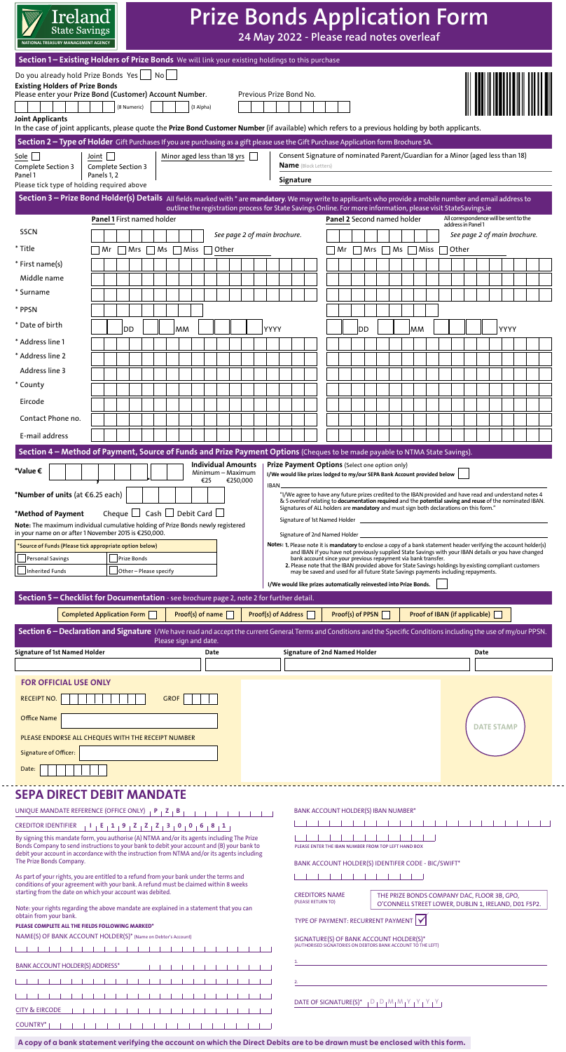| <b>State Savings</b><br>ATIONAL TREASURY MANAGEMENT AGENCY                                                                                                                                                                                                                                                                                                                                                                                                                                                                                                                                                                                                  | Ireland <sup>®</sup>                        |                                     |                                                                                     | <b>Prize Bonds Application Form</b>                                                                           |                              | 24 May 2022 - Please read notes overleaf                                                                                                                                                                              |                                                                                                                                                                                                                                                                                                                                                                                                                                                                                                                                                                                                                                                                                          |                             |                                             |                       |                               |                                                              |                   |  |
|-------------------------------------------------------------------------------------------------------------------------------------------------------------------------------------------------------------------------------------------------------------------------------------------------------------------------------------------------------------------------------------------------------------------------------------------------------------------------------------------------------------------------------------------------------------------------------------------------------------------------------------------------------------|---------------------------------------------|-------------------------------------|-------------------------------------------------------------------------------------|---------------------------------------------------------------------------------------------------------------|------------------------------|-----------------------------------------------------------------------------------------------------------------------------------------------------------------------------------------------------------------------|------------------------------------------------------------------------------------------------------------------------------------------------------------------------------------------------------------------------------------------------------------------------------------------------------------------------------------------------------------------------------------------------------------------------------------------------------------------------------------------------------------------------------------------------------------------------------------------------------------------------------------------------------------------------------------------|-----------------------------|---------------------------------------------|-----------------------|-------------------------------|--------------------------------------------------------------|-------------------|--|
| Section 1 - Existing Holders of Prize Bonds We will link your existing holdings to this purchase<br>Do you already hold Prize Bonds Yes  <br><b>Existing Holders of Prize Bonds</b><br>Please enter your Prize Bond (Customer) Account Number.                                                                                                                                                                                                                                                                                                                                                                                                              |                                             |                                     | No l                                                                                |                                                                                                               |                              | Previous Prize Bond No.                                                                                                                                                                                               |                                                                                                                                                                                                                                                                                                                                                                                                                                                                                                                                                                                                                                                                                          |                             |                                             |                       |                               |                                                              |                   |  |
| <b>Joint Applicants</b><br>In the case of joint applicants, please quote the Prize Bond Customer Number (if available) which refers to a previous holding by both applicants.                                                                                                                                                                                                                                                                                                                                                                                                                                                                               |                                             | (8 Numeric)                         |                                                                                     | (3 Alpha)                                                                                                     |                              |                                                                                                                                                                                                                       |                                                                                                                                                                                                                                                                                                                                                                                                                                                                                                                                                                                                                                                                                          |                             |                                             |                       |                               |                                                              |                   |  |
| Section 2 - Type of Holder Gift Purchases If you are purchasing as a gift please use the Gift Purchase Application form Brochure 5A.<br>Sole $\Box$<br>Complete Section 3                                                                                                                                                                                                                                                                                                                                                                                                                                                                                   | Joint $\vert \ \vert$<br>Complete Section 3 |                                     |                                                                                     | Minor aged less than 18 yrs                                                                                   |                              | <b>Name</b> (Block Letters)                                                                                                                                                                                           | Consent Signature of nominated Parent/Guardian for a Minor (aged less than 18)                                                                                                                                                                                                                                                                                                                                                                                                                                                                                                                                                                                                           |                             |                                             |                       |                               |                                                              |                   |  |
| Panel 1<br>Please tick type of holding required above                                                                                                                                                                                                                                                                                                                                                                                                                                                                                                                                                                                                       | Panels 1, 2                                 |                                     |                                                                                     |                                                                                                               |                              | Signature                                                                                                                                                                                                             |                                                                                                                                                                                                                                                                                                                                                                                                                                                                                                                                                                                                                                                                                          |                             |                                             |                       |                               |                                                              |                   |  |
| Section 3 - Prize Bond Holder(s) Details All fields marked with * are mandatory. We may write to applicants who provide a mobile number and email address to                                                                                                                                                                                                                                                                                                                                                                                                                                                                                                |                                             |                                     |                                                                                     |                                                                                                               |                              |                                                                                                                                                                                                                       |                                                                                                                                                                                                                                                                                                                                                                                                                                                                                                                                                                                                                                                                                          |                             |                                             |                       |                               |                                                              |                   |  |
|                                                                                                                                                                                                                                                                                                                                                                                                                                                                                                                                                                                                                                                             | <b>Panel 1 First named holder</b>           |                                     |                                                                                     | outline the registration process for State Savings Online. For more information, please visit StateSavings.ie |                              |                                                                                                                                                                                                                       |                                                                                                                                                                                                                                                                                                                                                                                                                                                                                                                                                                                                                                                                                          | Panel 2 Second named holder |                                             |                       |                               | All correspondence will be sent to the<br>address in Panel 1 |                   |  |
| <b>SSCN</b>                                                                                                                                                                                                                                                                                                                                                                                                                                                                                                                                                                                                                                                 |                                             |                                     |                                                                                     |                                                                                                               | See page 2 of main brochure. |                                                                                                                                                                                                                       |                                                                                                                                                                                                                                                                                                                                                                                                                                                                                                                                                                                                                                                                                          |                             |                                             |                       |                               | See page 2 of main brochure.                                 |                   |  |
| * Title                                                                                                                                                                                                                                                                                                                                                                                                                                                                                                                                                                                                                                                     | Mr                                          | Mrs                                 | $Ms \tMis \t$                                                                       | Other                                                                                                         |                              |                                                                                                                                                                                                                       | Mr                                                                                                                                                                                                                                                                                                                                                                                                                                                                                                                                                                                                                                                                                       | Mrs                         |                                             | $\neg$ Ms $\neg$ Miss | Other                         |                                                              |                   |  |
| * First name(s)<br>Middle name                                                                                                                                                                                                                                                                                                                                                                                                                                                                                                                                                                                                                              |                                             |                                     |                                                                                     |                                                                                                               |                              |                                                                                                                                                                                                                       |                                                                                                                                                                                                                                                                                                                                                                                                                                                                                                                                                                                                                                                                                          |                             |                                             |                       |                               |                                                              |                   |  |
| * Surname                                                                                                                                                                                                                                                                                                                                                                                                                                                                                                                                                                                                                                                   |                                             |                                     |                                                                                     |                                                                                                               |                              |                                                                                                                                                                                                                       |                                                                                                                                                                                                                                                                                                                                                                                                                                                                                                                                                                                                                                                                                          |                             |                                             |                       |                               |                                                              |                   |  |
| * PPSN                                                                                                                                                                                                                                                                                                                                                                                                                                                                                                                                                                                                                                                      |                                             |                                     |                                                                                     |                                                                                                               |                              |                                                                                                                                                                                                                       |                                                                                                                                                                                                                                                                                                                                                                                                                                                                                                                                                                                                                                                                                          |                             |                                             |                       |                               |                                                              |                   |  |
| * Date of birth                                                                                                                                                                                                                                                                                                                                                                                                                                                                                                                                                                                                                                             | <b>DD</b>                                   |                                     | MМ                                                                                  |                                                                                                               |                              | YYYY                                                                                                                                                                                                                  |                                                                                                                                                                                                                                                                                                                                                                                                                                                                                                                                                                                                                                                                                          | DD)                         |                                             | <b>MM</b>             |                               |                                                              | YYYY              |  |
| * Address line 1                                                                                                                                                                                                                                                                                                                                                                                                                                                                                                                                                                                                                                            |                                             |                                     |                                                                                     |                                                                                                               |                              |                                                                                                                                                                                                                       |                                                                                                                                                                                                                                                                                                                                                                                                                                                                                                                                                                                                                                                                                          |                             |                                             |                       |                               |                                                              |                   |  |
| * Address line 2                                                                                                                                                                                                                                                                                                                                                                                                                                                                                                                                                                                                                                            |                                             |                                     |                                                                                     |                                                                                                               |                              |                                                                                                                                                                                                                       |                                                                                                                                                                                                                                                                                                                                                                                                                                                                                                                                                                                                                                                                                          |                             |                                             |                       |                               |                                                              |                   |  |
| Address line 3                                                                                                                                                                                                                                                                                                                                                                                                                                                                                                                                                                                                                                              |                                             |                                     |                                                                                     |                                                                                                               |                              |                                                                                                                                                                                                                       |                                                                                                                                                                                                                                                                                                                                                                                                                                                                                                                                                                                                                                                                                          |                             |                                             |                       |                               |                                                              |                   |  |
| * County                                                                                                                                                                                                                                                                                                                                                                                                                                                                                                                                                                                                                                                    |                                             |                                     |                                                                                     |                                                                                                               |                              |                                                                                                                                                                                                                       |                                                                                                                                                                                                                                                                                                                                                                                                                                                                                                                                                                                                                                                                                          |                             |                                             |                       |                               |                                                              |                   |  |
| Eircode                                                                                                                                                                                                                                                                                                                                                                                                                                                                                                                                                                                                                                                     |                                             |                                     |                                                                                     |                                                                                                               |                              |                                                                                                                                                                                                                       |                                                                                                                                                                                                                                                                                                                                                                                                                                                                                                                                                                                                                                                                                          |                             |                                             |                       |                               |                                                              |                   |  |
| Contact Phone no.                                                                                                                                                                                                                                                                                                                                                                                                                                                                                                                                                                                                                                           |                                             |                                     |                                                                                     |                                                                                                               |                              |                                                                                                                                                                                                                       |                                                                                                                                                                                                                                                                                                                                                                                                                                                                                                                                                                                                                                                                                          |                             |                                             |                       |                               |                                                              |                   |  |
| E-mail address<br>Section 4 - Method of Payment, Source of Funds and Prize Payment Options (Cheques to be made payable to NTMA State Savings).                                                                                                                                                                                                                                                                                                                                                                                                                                                                                                              |                                             |                                     |                                                                                     |                                                                                                               |                              |                                                                                                                                                                                                                       |                                                                                                                                                                                                                                                                                                                                                                                                                                                                                                                                                                                                                                                                                          |                             |                                             |                       |                               |                                                              |                   |  |
| *Method of Payment<br>Note: The maximum individual cumulative holding of Prize Bonds newly registered<br>in your name on or after 1 November 2015 is €250,000.<br>*Source of Funds (Please tick appropriate option below)<br><b>Personal Savings</b><br>Inherited Funds<br>Section 5 - Checklist for Documentation - see brochure page 2, note 2 for further detail.<br>Section 6 - Declaration and Signature I/We have read and accept the current General Terms and Conditions and the Specific Conditions including the use of my/our PPSN.<br>Signature of 1st Named Holder<br><b>FOR OFFICIAL USE ONLY</b><br><b>RECEIPT NO.</b><br><b>Office Name</b> | Completed Application Form                  | Prize Bonds<br>Other-Please specify | Cheque $\Box$ Cash $\Box$ Debit Card $\Box$<br>Please sign and date.<br><b>GROF</b> | Proof(s) of name<br>Date                                                                                      |                              | Notes: 1. Please note it is mandatory to enclose a copy of a bank statement header verifying the account holder(s)<br>I/We would like prizes automatically reinvested into Prize Bonds.<br><b>Proof(s) of Address</b> | & 5 overleaf relating to documentation required and the potential saving and reuse of the nominated IBAN.<br>Signatures of ALL holders are mandatory and must sign both declarations on this form."<br>Signature of 1st Named Holder<br>Signature of 2nd Named Holder _<br>and IBAN if you have not previously supplied State Savings with your IBAN details or you have changed<br>bank account since your previous repayment via bank transfer.<br>2. Please note that the IBAN provided above for State Savings holdings by existing compliant customers<br>may be saved and used for all future State Savings payments including repayments.<br><b>Signature of 2nd Named Holder</b> | Proof(s) of PPSN            |                                             |                       | Proof of IBAN (if applicable) | Date                                                         | <b>DATE STAMP</b> |  |
| PLEASE ENDORSE ALL CHEQUES WITH THE RECEIPT NUMBER<br><b>Signature of Officer:</b><br>Date:                                                                                                                                                                                                                                                                                                                                                                                                                                                                                                                                                                 |                                             |                                     |                                                                                     |                                                                                                               |                              |                                                                                                                                                                                                                       |                                                                                                                                                                                                                                                                                                                                                                                                                                                                                                                                                                                                                                                                                          |                             |                                             |                       |                               |                                                              |                   |  |
| <b>SEPA DIRECT DEBIT MANDATE</b><br>UNIQUE MANDATE REFERENCE (OFFICE ONLY) $\begin{bmatrix} P & I & Z & B \end{bmatrix}$<br><b>Contract Contract Contract</b><br>CREDITOR IDENTIFIER $-1$ $-1$ $-2$ $-2$ $-2$ $-2$ $-3$ $-0$ $-0$ $-6$ $-8$ $-1$<br>By signing this mandate form, you authorise (A) NTMA and/or its agents including The Prize<br>Bonds Company to send instructions to your bank to debit your account and (B) your bank to<br>debit your account in accordance with the instruction from NTMA and/or its agents including<br>The Prize Bonds Company.                                                                                     |                                             |                                     |                                                                                     |                                                                                                               |                              | BANK ACCOUNT HOLDER(S) IBAN NUMBER*<br>PLEASE ENTER THE IBAN NUMBER FROM TOP LEFT HAND BOX<br>BANK ACCOUNT HOLDER(S) IDENTIFER CODE - BIC/SWIFT*                                                                      |                                                                                                                                                                                                                                                                                                                                                                                                                                                                                                                                                                                                                                                                                          |                             |                                             |                       |                               |                                                              |                   |  |
| As part of your rights, you are entitled to a refund from your bank under the terms and<br>conditions of your agreement with your bank. A refund must be claimed within 8 weeks<br>starting from the date on which your account was debited.                                                                                                                                                                                                                                                                                                                                                                                                                |                                             |                                     |                                                                                     |                                                                                                               |                              |                                                                                                                                                                                                                       | <b>CREDITORS NAME</b>                                                                                                                                                                                                                                                                                                                                                                                                                                                                                                                                                                                                                                                                    |                             | THE PRIZE BONDS COMPANY DAC, FLOOR 3B, GPO, |                       |                               |                                                              |                   |  |
| Note: your rights regarding the above mandate are explained in a statement that you can<br>obtain from your bank.                                                                                                                                                                                                                                                                                                                                                                                                                                                                                                                                           |                                             |                                     |                                                                                     |                                                                                                               |                              |                                                                                                                                                                                                                       | (PLEASE RETURN TO)<br>O'CONNELL STREET LOWER, DUBLIN 1, IRELAND, D01 F5P2.<br>TYPE OF PAYMENT: RECURRENT PAYMENT                                                                                                                                                                                                                                                                                                                                                                                                                                                                                                                                                                         |                             |                                             |                       |                               |                                                              |                   |  |
| PLEASE COMPLETE ALL THE FIELDS FOLLOWING MARKED*                                                                                                                                                                                                                                                                                                                                                                                                                                                                                                                                                                                                            |                                             |                                     |                                                                                     |                                                                                                               |                              |                                                                                                                                                                                                                       |                                                                                                                                                                                                                                                                                                                                                                                                                                                                                                                                                                                                                                                                                          |                             |                                             |                       |                               |                                                              |                   |  |
| NAME(S) OF BANK ACCOUNT HOLDER(S)* (Name on Debtor's Account)<br>.                                                                                                                                                                                                                                                                                                                                                                                                                                                                                                                                                                                          |                                             |                                     |                                                                                     |                                                                                                               |                              |                                                                                                                                                                                                                       | SIGNATURE(S) OF BANK ACCOUNT HOLDER(S)*<br>(AUTHORISED SIGNATORIES ON DEBTORS BANK ACCOUNT TO THE LEFT)                                                                                                                                                                                                                                                                                                                                                                                                                                                                                                                                                                                  |                             |                                             |                       |                               |                                                              |                   |  |
| <b>BANK ACCOUNT HOLDER(S) ADDRESS*</b>                                                                                                                                                                                                                                                                                                                                                                                                                                                                                                                                                                                                                      |                                             |                                     |                                                                                     |                                                                                                               |                              |                                                                                                                                                                                                                       |                                                                                                                                                                                                                                                                                                                                                                                                                                                                                                                                                                                                                                                                                          |                             |                                             |                       |                               |                                                              |                   |  |
|                                                                                                                                                                                                                                                                                                                                                                                                                                                                                                                                                                                                                                                             |                                             |                                     |                                                                                     |                                                                                                               |                              |                                                                                                                                                                                                                       |                                                                                                                                                                                                                                                                                                                                                                                                                                                                                                                                                                                                                                                                                          |                             |                                             |                       |                               |                                                              |                   |  |
|                                                                                                                                                                                                                                                                                                                                                                                                                                                                                                                                                                                                                                                             |                                             |                                     |                                                                                     |                                                                                                               |                              |                                                                                                                                                                                                                       |                                                                                                                                                                                                                                                                                                                                                                                                                                                                                                                                                                                                                                                                                          |                             |                                             |                       |                               |                                                              |                   |  |

 $\cdot$  – –

**A copy of a bank statement verifying the account on which the Direct Debits are to be drawn must be enclosed with this form.**

 $\overline{a}$